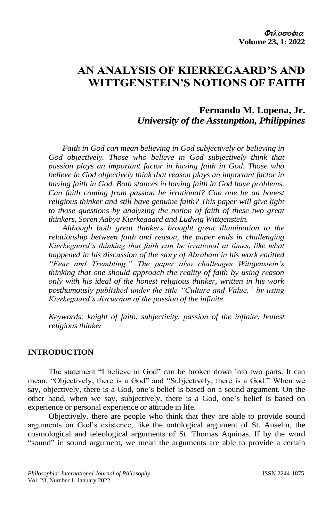# **AN ANALYSIS OF KIERKEGAARD'S AND WITTGENSTEIN'S NOTIONS OF FAITH**

# **Fernando M. Lopena, Jr.** *University of the Assumption, Philippines*

*Faith in God can mean believing in God subjectively or believing in God objectively. Those who believe in God subjectively think that passion plays an important factor in having faith in God. Those who believe in God objectively think that reason plays an important factor in having faith in God. Both stances in having faith in God have problems. Can faith coming from passion be irrational? Can one be an honest religious thinker and still have genuine faith? This paper will give light to those questions by analyzing the notion of faith of these two great thinkers, Soren Aabye Kierkegaard and Ludwig Wittgenstein.* 

*Although both great thinkers brought great illumination to the relationship between faith and reason, the paper ends in challenging Kierkegaard's thinking that faith can be irrational at times, like what happened in his discussion of the story of Abraham in his work entitled "Fear and Trembling." The paper also challenges Wittgenstein's thinking that one should approach the reality of faith by using reason only with his ideal of the honest religious thinker, written in his work posthumously published under the title "Culture and Value," by using Kierkegaard's discussion of the passion of the infinite.* 

*Keywords: knight of faith, subjectivity, passion of the infinite, honest religious thinker*

#### **INTRODUCTION**

The statement "I believe in God" can be broken down into two parts. It can mean, "Objectively, there is a God" and "Subjectively, there is a God." When we say, objectively, there is a God, one's belief is based on a sound argument. On the other hand, when we say, subjectively, there is a God, one's belief is based on experience or personal experience or attitude in life.

Objectively, there are people who think that they are able to provide sound arguments on God's existence, like the ontological argument of St. Anselm, the cosmological and teleological arguments of St. Thomas Aquinas. If by the word "sound" in sound argument, we mean the arguments are able to provide a certain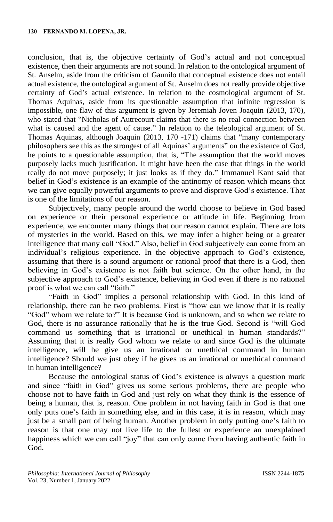conclusion, that is, the objective certainty of God's actual and not conceptual existence, then their arguments are not sound. In relation to the ontological argument of St. Anselm, aside from the criticism of Gaunilo that conceptual existence does not entail actual existence, the ontological argument of St. Anselm does not really provide objective certainty of God's actual existence. In relation to the cosmological argument of St. Thomas Aquinas, aside from its questionable assumption that infinite regression is impossible, one flaw of this argument is given by Jeremiah Joven Joaquin (2013, 170), who stated that "Nicholas of Autrecourt claims that there is no real connection between what is caused and the agent of cause." In relation to the teleological argument of St. Thomas Aquinas, although Joaquin (2013, 170 -171) claims that "many contemporary philosophers see this as the strongest of all Aquinas' arguments" on the existence of God, he points to a questionable assumption, that is, "The assumption that the world moves purposely lacks much justification. It might have been the case that things in the world really do not move purposely; it just looks as if they do." Immanuel Kant said that belief in God's existence is an example of the antinomy of reason which means that we can give equally powerful arguments to prove and disprove God's existence. That is one of the limitations of our reason.

Subjectively, many people around the world choose to believe in God based on experience or their personal experience or attitude in life. Beginning from experience, we encounter many things that our reason cannot explain. There are lots of mysteries in the world. Based on this, we may infer a higher being or a greater intelligence that many call "God." Also, belief in God subjectively can come from an individual's religious experience. In the objective approach to God's existence, assuming that there is a sound argument or rational proof that there is a God, then believing in God's existence is not faith but science. On the other hand, in the subjective approach to God's existence, believing in God even if there is no rational proof is what we can call "faith."

"Faith in God" implies a personal relationship with God. In this kind of relationship, there can be two problems. First is "how can we know that it is really "God" whom we relate to?" It is because God is unknown, and so when we relate to God, there is no assurance rationally that he is the true God. Second is "will God command us something that is irrational or unethical in human standards?" Assuming that it is really God whom we relate to and since God is the ultimate intelligence, will he give us an irrational or unethical command in human intelligence? Should we just obey if he gives us an irrational or unethical command in human intelligence?

Because the ontological status of God's existence is always a question mark and since "faith in God" gives us some serious problems, there are people who choose not to have faith in God and just rely on what they think is the essence of being a human, that is, reason. One problem in not having faith in God is that one only puts one's faith in something else, and in this case, it is in reason, which may just be a small part of being human. Another problem in only putting one's faith to reason is that one may not live life to the fullest or experience an unexplained happiness which we can call "joy" that can only come from having authentic faith in God.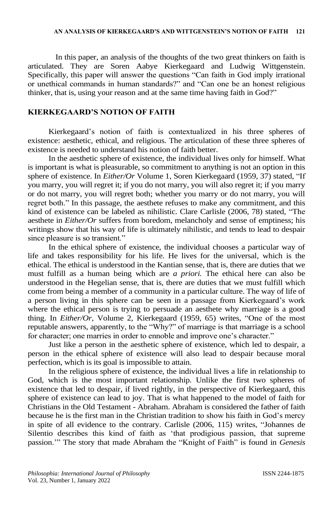In this paper, an analysis of the thoughts of the two great thinkers on faith is articulated. They are Soren Aabye Kierkegaard and Ludwig Wittgenstein. Specifically, this paper will answer the questions "Can faith in God imply irrational or unethical commands in human standards?" and "Can one be an honest religious thinker, that is, using your reason and at the same time having faith in God?"

### **KIERKEGAARD'S NOTION OF FAITH**

Kierkegaard's notion of faith is contextualized in his three spheres of existence: aesthetic, ethical, and religious. The articulation of these three spheres of existence is needed to understand his notion of faith better.

In the aesthetic sphere of existence, the individual lives only for himself. What is important is what is pleasurable, so commitment to anything is not an option in this sphere of existence. In *Either/Or* Volume 1, Soren Kierkegaard (1959, 37) stated, "If you marry, you will regret it; if you do not marry, you will also regret it; if you marry or do not marry, you will regret both; whether you marry or do not marry, you will regret both." In this passage, the aesthete refuses to make any commitment, and this kind of existence can be labeled as nihilistic. Clare Carlisle (2006, 78) stated, "The aesthete in *Either/Or* suffers from boredom, melancholy and sense of emptiness; his writings show that his way of life is ultimately nihilistic, and tends to lead to despair since pleasure is so transient."

In the ethical sphere of existence, the individual chooses a particular way of life and takes responsibility for his life. He lives for the universal, which is the ethical. The ethical is understood in the Kantian sense, that is, there are duties that we must fulfill as a human being which are *a priori.* The ethical here can also be understood in the Hegelian sense, that is, there are duties that we must fulfill which come from being a member of a community in a particular culture. The way of life of a person living in this sphere can be seen in a passage from Kierkegaard's work where the ethical person is trying to persuade an aesthete why marriage is a good thing. In *Either/Or,* Volume 2, Kierkegaard (1959, 65) writes, "One of the most reputable answers, apparently, to the "Why?" of marriage is that marriage is a school for character; one marries in order to ennoble and improve one's character."

Just like a person in the aesthetic sphere of existence, which led to despair, a person in the ethical sphere of existence will also lead to despair because moral perfection, which is its goal is impossible to attain.

In the religious sphere of existence, the individual lives a life in relationship to God, which is the most important relationship. Unlike the first two spheres of existence that led to despair, if lived rightly, in the perspective of Kierkegaard, this sphere of existence can lead to joy. That is what happened to the model of faith for Christians in the Old Testament - Abraham. Abraham is considered the father of faith because he is the first man in the Christian tradition to show his faith in God's mercy in spite of all evidence to the contrary. Carlisle (2006, 115) writes, "Johannes de Silentio describes this kind of faith as 'that prodigious passion, that supreme passion.'" The story that made Abraham the "Knight of Faith" is found in *Genesis*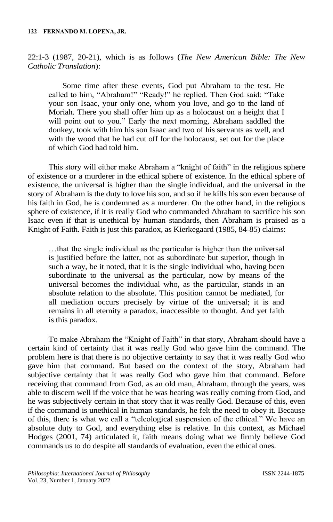22:1-3 (1987, 20-21), which is as follows (*The New American Bible: The New Catholic Translation*):

Some time after these events, God put Abraham to the test. He called to him, "Abraham!" "Ready!" he replied. Then God said: "Take your son Isaac, your only one, whom you love, and go to the land of Moriah. There you shall offer him up as a holocaust on a height that I will point out to you." Early the next morning, Abraham saddled the donkey, took with him his son Isaac and two of his servants as well, and with the wood that he had cut off for the holocaust, set out for the place of which God had told him.

This story will either make Abraham a "knight of faith" in the religious sphere of existence or a murderer in the ethical sphere of existence. In the ethical sphere of existence, the universal is higher than the single individual, and the universal in the story of Abraham is the duty to love his son, and so if he kills his son even because of his faith in God, he is condemned as a murderer. On the other hand, in the religious sphere of existence, if it is really God who commanded Abraham to sacrifice his son Isaac even if that is unethical by human standards, then Abraham is praised as a Knight of Faith. Faith is just this paradox, as Kierkegaard (1985, 84-85) claims:

…that the single individual as the particular is higher than the universal is justified before the latter, not as subordinate but superior, though in such a way, be it noted, that it is the single individual who, having been subordinate to the universal as the particular, now by means of the universal becomes the individual who, as the particular, stands in an absolute relation to the absolute. This position cannot be mediated, for all mediation occurs precisely by virtue of the universal; it is and remains in all eternity a paradox, inaccessible to thought. And yet faith is this paradox.

To make Abraham the "Knight of Faith" in that story, Abraham should have a certain kind of certainty that it was really God who gave him the command. The problem here is that there is no objective certainty to say that it was really God who gave him that command. But based on the context of the story, Abraham had subjective certainty that it was really God who gave him that command. Before receiving that command from God, as an old man, Abraham, through the years, was able to discern well if the voice that he was hearing was really coming from God, and he was subjectively certain in that story that it was really God. Because of this, even if the command is unethical in human standards, he felt the need to obey it. Because of this, there is what we call a "teleological suspension of the ethical." We have an absolute duty to God, and everything else is relative. In this context, as Michael Hodges (2001, 74) articulated it, faith means doing what we firmly believe God commands us to do despite all standards of evaluation, even the ethical ones.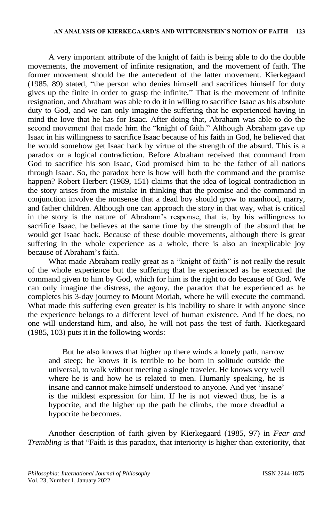A very important attribute of the knight of faith is being able to do the double movements, the movement of infinite resignation, and the movement of faith. The former movement should be the antecedent of the latter movement. Kierkegaard (1985, 89) stated, "the person who denies himself and sacrifices himself for duty gives up the finite in order to grasp the infinite." That is the movement of infinite resignation, and Abraham was able to do it in willing to sacrifice Isaac as his absolute duty to God, and we can only imagine the suffering that he experienced having in mind the love that he has for Isaac. After doing that, Abraham was able to do the second movement that made him the "knight of faith." Although Abraham gave up Isaac in his willingness to sacrifice Isaac because of his faith in God, he believed that he would somehow get Isaac back by virtue of the strength of the absurd. This is a paradox or a logical contradiction. Before Abraham received that command from God to sacrifice his son Isaac, God promised him to be the father of all nations through Isaac. So, the paradox here is how will both the command and the promise happen? Robert Herbert (1989, 151) claims that the idea of logical contradiction in the story arises from the mistake in thinking that the promise and the command in conjunction involve the nonsense that a dead boy should grow to manhood, marry, and father children. Although one can approach the story in that way, what is critical in the story is the nature of Abraham's response, that is, by his willingness to sacrifice Isaac, he believes at the same time by the strength of the absurd that he would get Isaac back. Because of these double movements, although there is great suffering in the whole experience as a whole, there is also an inexplicable joy because of Abraham's faith.

What made Abraham really great as a "knight of faith" is not really the result of the whole experience but the suffering that he experienced as he executed the command given to him by God, which for him is the right to do because of God. We can only imagine the distress, the agony, the paradox that he experienced as he completes his 3-day journey to Mount Moriah, where he will execute the command. What made this suffering even greater is his inability to share it with anyone since the experience belongs to a different level of human existence. And if he does, no one will understand him, and also, he will not pass the test of faith. Kierkegaard (1985, 103) puts it in the following words:

But he also knows that higher up there winds a lonely path, narrow and steep; he knows it is terrible to be born in solitude outside the universal, to walk without meeting a single traveler. He knows very well where he is and how he is related to men. Humanly speaking, he is insane and cannot make himself understood to anyone. And yet 'insane' is the mildest expression for him. If he is not viewed thus, he is a hypocrite, and the higher up the path he climbs, the more dreadful a hypocrite he becomes.

Another description of faith given by Kierkegaard (1985, 97) in *Fear and Trembling* is that "Faith is this paradox, that interiority is higher than exteriority, that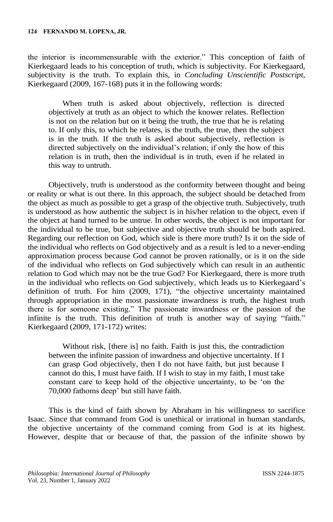the interior is incommensurable with the exterior." This conception of faith of Kierkegaard leads to his conception of truth, which is subjectivity. For Kierkegaard, subjectivity is the truth. To explain this, in *Concluding Unscientific Postscript*, Kierkegaard (2009, 167-168) puts it in the following words:

When truth is asked about objectively, reflection is directed objectively at truth as an object to which the knower relates. Reflection is not on the relation but on it being the truth, the true that he is relating to. If only this, to which he relates, is the truth, the true, then the subject is in the truth. If the truth is asked about subjectively, reflection is directed subjectively on the individual's relation; if only the how of this relation is in truth, then the individual is in truth, even if he related in this way to untruth.

Objectively, truth is understood as the conformity between thought and being or reality or what is out there. In this approach, the subject should be detached from the object as much as possible to get a grasp of the objective truth. Subjectively, truth is understood as how authentic the subject is in his/her relation to the object, even if the object at hand turned to be untrue. In other words, the object is not important for the individual to be true, but subjective and objective truth should be both aspired. Regarding our reflection on God, which side is there more truth? Is it on the side of the individual who reflects on God objectively and as a result is led to a never-ending approximation process because God cannot be proven rationally, or is it on the side of the individual who reflects on God subjectively which can result in an authentic relation to God which may not be the true God? For Kierkegaard, there is more truth in the individual who reflects on God subjectively, which leads us to Kierkegaard's definition of truth. For him (2009, 171), "the objective uncertainty maintained through appropriation in the most passionate inwardness is truth, the highest truth there is for someone existing." The passionate inwardness or the passion of the infinite is the truth. This definition of truth is another way of saying "faith." Kierkegaard (2009, 171-172) writes:

Without risk, [there is] no faith. Faith is just this, the contradiction between the infinite passion of inwardness and objective uncertainty. If I can grasp God objectively, then I do not have faith, but just because I cannot do this, I must have faith. If I wish to stay in my faith, I must take constant care to keep hold of the objective uncertainty, to be 'on the 70,000 fathoms deep' but still have faith.

This is the kind of faith shown by Abraham in his willingness to sacrifice Isaac. Since that command from God is unethical or irrational in human standards, the objective uncertainty of the command coming from God is at its highest. However, despite that or because of that, the passion of the infinite shown by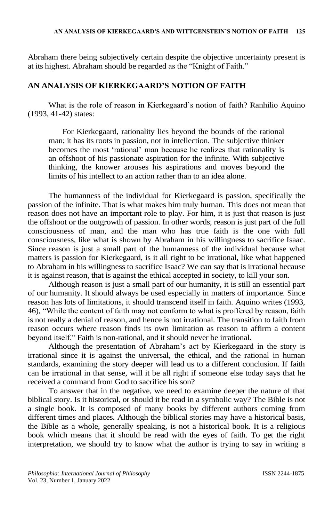Abraham there being subjectively certain despite the objective uncertainty present is at its highest. Abraham should be regarded as the "Knight of Faith."

# **AN ANALYSIS OF KIERKEGAARD'S NOTION OF FAITH**

What is the role of reason in Kierkegaard's notion of faith? Ranhilio Aquino (1993, 41-42) states:

For Kierkegaard, rationality lies beyond the bounds of the rational man; it has its roots in passion, not in intellection. The subjective thinker becomes the most 'rational' man because he realizes that rationality is an offshoot of his passionate aspiration for the infinite. With subjective thinking, the knower arouses his aspirations and moves beyond the limits of his intellect to an action rather than to an idea alone.

The humanness of the individual for Kierkegaard is passion, specifically the passion of the infinite. That is what makes him truly human. This does not mean that reason does not have an important role to play. For him, it is just that reason is just the offshoot or the outgrowth of passion. In other words, reason is just part of the full consciousness of man, and the man who has true faith is the one with full consciousness, like what is shown by Abraham in his willingness to sacrifice Isaac. Since reason is just a small part of the humanness of the individual because what matters is passion for Kierkegaard, is it all right to be irrational, like what happened to Abraham in his willingness to sacrifice Isaac? We can say that is irrational because it is against reason, that is against the ethical accepted in society, to kill your son.

Although reason is just a small part of our humanity, it is still an essential part of our humanity. It should always be used especially in matters of importance. Since reason has lots of limitations, it should transcend itself in faith. Aquino writes (1993, 46), "While the content of faith may not conform to what is proffered by reason, faith is not really a denial of reason, and hence is not irrational. The transition to faith from reason occurs where reason finds its own limitation as reason to affirm a content beyond itself." Faith is non-rational, and it should never be irrational.

Although the presentation of Abraham's act by Kierkegaard in the story is irrational since it is against the universal, the ethical, and the rational in human standards, examining the story deeper will lead us to a different conclusion. If faith can be irrational in that sense, will it be all right if someone else today says that he received a command from God to sacrifice his son?

To answer that in the negative, we need to examine deeper the nature of that biblical story. Is it historical, or should it be read in a symbolic way? The Bible is not a single book. It is composed of many books by different authors coming from different times and places. Although the biblical stories may have a historical basis, the Bible as a whole, generally speaking, is not a historical book. It is a religious book which means that it should be read with the eyes of faith. To get the right interpretation, we should try to know what the author is trying to say in writing a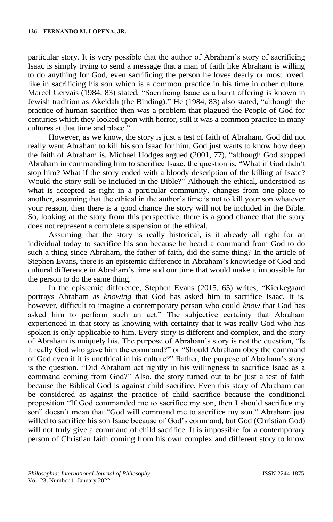particular story. It is very possible that the author of Abraham's story of sacrificing Isaac is simply trying to send a message that a man of faith like Abraham is willing to do anything for God, even sacrificing the person he loves dearly or most loved, like in sacrificing his son which is a common practice in his time in other culture. Marcel Gervais (1984, 83) stated, "Sacrificing Isaac as a burnt offering is known in Jewish tradition as Akeidah (the Binding)." He (1984, 83) also stated, "although the practice of human sacrifice then was a problem that plagued the People of God for centuries which they looked upon with horror, still it was a common practice in many cultures at that time and place."

However, as we know, the story is just a test of faith of Abraham. God did not really want Abraham to kill his son Isaac for him. God just wants to know how deep the faith of Abraham is. Michael Hodges argued (2001, 77), "although God stopped Abraham in commanding him to sacrifice Isaac, the question is, "What if God didn't stop him? What if the story ended with a bloody description of the killing of Isaac? Would the story still be included in the Bible?" Although the ethical, understood as what is accepted as right in a particular community, changes from one place to another, assuming that the ethical in the author's time is not to kill your son whatever your reason, then there is a good chance the story will not be included in the Bible. So, looking at the story from this perspective, there is a good chance that the story does not represent a complete suspension of the ethical.

Assuming that the story is really historical, is it already all right for an individual today to sacrifice his son because he heard a command from God to do such a thing since Abraham, the father of faith, did the same thing? In the article of Stephen Evans, there is an epistemic difference in Abraham's knowledge of God and cultural difference in Abraham's time and our time that would make it impossible for the person to do the same thing.

In the epistemic difference, Stephen Evans (2015, 65) writes, "Kierkegaard portrays Abraham as *knowing* that God has asked him to sacrifice Isaac. It is, however, difficult to imagine a contemporary person who could *know* that God has asked him to perform such an act." The subjective certainty that Abraham experienced in that story as knowing with certainty that it was really God who has spoken is only applicable to him. Every story is different and complex, and the story of Abraham is uniquely his. The purpose of Abraham's story is not the question, "Is it really God who gave him the command?" or "Should Abraham obey the command of God even if it is unethical in his culture?" Rather, the purpose of Abraham's story is the question, "Did Abraham act rightly in his willingness to sacrifice Isaac as a command coming from God?" Also, the story turned out to be just a test of faith because the Biblical God is against child sacrifice. Even this story of Abraham can be considered as against the practice of child sacrifice because the conditional proposition "If God commanded me to sacrifice my son, then I should sacrifice my son" doesn't mean that "God will command me to sacrifice my son." Abraham just willed to sacrifice his son Isaac because of God's command, but God (Christian God) will not truly give a command of child sacrifice. It is impossible for a contemporary person of Christian faith coming from his own complex and different story to know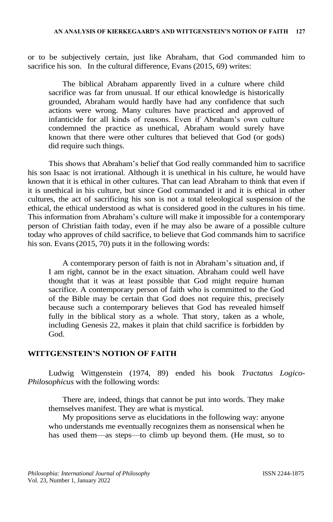or to be subjectively certain, just like Abraham, that God commanded him to sacrifice his son. In the cultural difference, Evans (2015, 69) writes:

The biblical Abraham apparently lived in a culture where child sacrifice was far from unusual. If our ethical knowledge is historically grounded, Abraham would hardly have had any confidence that such actions were wrong. Many cultures have practiced and approved of infanticide for all kinds of reasons. Even if Abraham's own culture condemned the practice as unethical, Abraham would surely have known that there were other cultures that believed that God (or gods) did require such things.

This shows that Abraham's belief that God really commanded him to sacrifice his son Isaac is not irrational. Although it is unethical in his culture, he would have known that it is ethical in other cultures. That can lead Abraham to think that even if it is unethical in his culture, but since God commanded it and it is ethical in other cultures, the act of sacrificing his son is not a total teleological suspension of the ethical, the ethical understood as what is considered good in the cultures in his time. This information from Abraham's culture will make it impossible for a contemporary person of Christian faith today, even if he may also be aware of a possible culture today who approves of child sacrifice, to believe that God commands him to sacrifice his son. Evans (2015, 70) puts it in the following words:

A contemporary person of faith is not in Abraham's situation and, if I am right, cannot be in the exact situation. Abraham could well have thought that it was at least possible that God might require human sacrifice. A contemporary person of faith who is committed to the God of the Bible may be certain that God does not require this, precisely because such a contemporary believes that God has revealed himself fully in the biblical story as a whole. That story, taken as a whole, including Genesis 22, makes it plain that child sacrifice is forbidden by God.

#### **WITTGENSTEIN'S NOTION OF FAITH**

Ludwig Wittgenstein (1974, 89) ended his book *Tractatus Logico-Philosophicus* with the following words:

There are, indeed, things that cannot be put into words. They make themselves manifest. They are what is mystical.

My propositions serve as elucidations in the following way: anyone who understands me eventually recognizes them as nonsensical when he has used them—as steps—to climb up beyond them. (He must, so to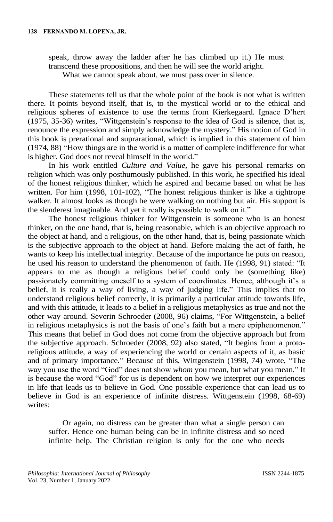speak, throw away the ladder after he has climbed up it.) He must transcend these propositions, and then he will see the world aright.

What we cannot speak about, we must pass over in silence.

These statements tell us that the whole point of the book is not what is written there. It points beyond itself, that is, to the mystical world or to the ethical and religious spheres of existence to use the terms from Kierkegaard. Ignace D'hert (1975, 35-36) writes, "Wittgenstein's response to the idea of God is silence, that is, renounce the expression and simply acknowledge the mystery." His notion of God in this book is prerational and suprarational, which is implied in this statement of him (1974, 88) "How things are in the world is a matter of complete indifference for what is higher. God does not reveal himself in the world."

In his work entitled *Culture and Value*, he gave his personal remarks on religion which was only posthumously published. In this work, he specified his ideal of the honest religious thinker, which he aspired and became based on what he has written. For him (1998, 101-102), "The honest religious thinker is like a tightrope walker. It almost looks as though he were walking on nothing but air. His support is the slenderest imaginable. And yet it really is possible to walk on it."

The honest religious thinker for Wittgenstein is someone who is an honest thinker, on the one hand, that is, being reasonable, which is an objective approach to the object at hand, and a religious, on the other hand, that is, being passionate which is the subjective approach to the object at hand. Before making the act of faith, he wants to keep his intellectual integrity. Because of the importance he puts on reason, he used his reason to understand the phenomenon of faith. He (1998, 91) stated: "It appears to me as though a religious belief could only be (something like) passionately committing oneself to a system of coordinates. Hence, although it's a belief, it is really a way of living, a way of judging life." This implies that to understand religious belief correctly, it is primarily a particular attitude towards life, and with this attitude, it leads to a belief in a religious metaphysics as true and not the other way around. Severin Schroeder (2008, 96) claims, "For Wittgenstein, a belief in religious metaphysics is not the basis of one's faith but a mere epiphenomenon." This means that belief in God does not come from the objective approach but from the subjective approach. Schroeder (2008, 92) also stated, "It begins from a protoreligious attitude, a way of experiencing the world or certain aspects of it, as basic and of primary importance." Because of this, Wittgenstein (1998, 74) wrote, "The way you use the word "God" does not show *whom* you mean, but what you mean." It is because the word "God" for us is dependent on how we interpret our experiences in life that leads us to believe in God. One possible experience that can lead us to believe in God is an experience of infinite distress. Wittgenstein (1998, 68-69) writes:

Or again, no distress can be greater than what a single person can suffer. Hence one human being can be in infinite distress and so need infinite help. The Christian religion is only for the one who needs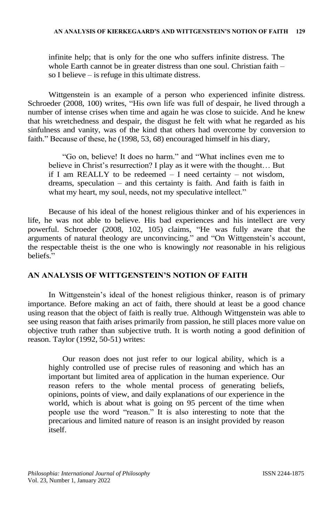infinite help; that is only for the one who suffers infinite distress. The whole Earth cannot be in greater distress than one soul. Christian faith – so I believe – is refuge in this ultimate distress.

Wittgenstein is an example of a person who experienced infinite distress. Schroeder (2008, 100) writes, "His own life was full of despair, he lived through a number of intense crises when time and again he was close to suicide. And he knew that his wretchedness and despair, the disgust he felt with what he regarded as his sinfulness and vanity, was of the kind that others had overcome by conversion to faith." Because of these, he (1998, 53, 68) encouraged himself in his diary,

"Go on, believe! It does no harm." and "What inclines even me to believe in Christ's resurrection? I play as it were with the thought… But if I am REALLY to be redeemed  $-$  I need certainty  $-$  not wisdom, dreams, speculation – and this certainty is faith. And faith is faith in what my heart, my soul, needs, not my speculative intellect."

Because of his ideal of the honest religious thinker and of his experiences in life, he was not able to believe. His bad experiences and his intellect are very powerful. Schroeder (2008, 102, 105) claims, "He was fully aware that the arguments of natural theology are unconvincing." and "On Wittgenstein's account, the respectable theist is the one who is knowingly *not* reasonable in his religious beliefs."

## **AN ANALYSIS OF WITTGENSTEIN'S NOTION OF FAITH**

In Wittgenstein's ideal of the honest religious thinker, reason is of primary importance. Before making an act of faith, there should at least be a good chance using reason that the object of faith is really true. Although Wittgenstein was able to see using reason that faith arises primarily from passion, he still places more value on objective truth rather than subjective truth. It is worth noting a good definition of reason. Taylor (1992, 50-51) writes:

Our reason does not just refer to our logical ability, which is a highly controlled use of precise rules of reasoning and which has an important but limited area of application in the human experience. Our reason refers to the whole mental process of generating beliefs, opinions, points of view, and daily explanations of our experience in the world, which is about what is going on 95 percent of the time when people use the word "reason." It is also interesting to note that the precarious and limited nature of reason is an insight provided by reason itself.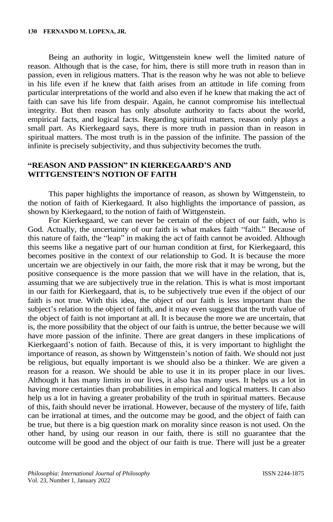Being an authority in logic, Wittgenstein knew well the limited nature of reason. Although that is the case, for him, there is still more truth in reason than in passion, even in religious matters. That is the reason why he was not able to believe in his life even if he knew that faith arises from an attitude in life coming from particular interpretations of the world and also even if he knew that making the act of faith can save his life from despair. Again, he cannot compromise his intellectual integrity. But then reason has only absolute authority to facts about the world, empirical facts, and logical facts. Regarding spiritual matters, reason only plays a small part. As Kierkegaard says, there is more truth in passion than in reason in spiritual matters. The most truth is in the passion of the infinite. The passion of the infinite is precisely subjectivity, and thus subjectivity becomes the truth.

#### **"REASON AND PASSION" IN KIERKEGAARD'S AND WITTGENSTEIN'S NOTION OF FAITH**

This paper highlights the importance of reason, as shown by Wittgenstein, to the notion of faith of Kierkegaard. It also highlights the importance of passion, as shown by Kierkegaard, to the notion of faith of Wittgenstein.

For Kierkegaard, we can never be certain of the object of our faith, who is God. Actually, the uncertainty of our faith is what makes faith "faith." Because of this nature of faith, the "leap" in making the act of faith cannot be avoided. Although this seems like a negative part of our human condition at first, for Kierkegaard, this becomes positive in the context of our relationship to God. It is because the more uncertain we are objectively in our faith, the more risk that it may be wrong, but the positive consequence is the more passion that we will have in the relation, that is, assuming that we are subjectively true in the relation. This is what is most important in our faith for Kierkegaard, that is, to be subjectively true even if the object of our faith is not true. With this idea, the object of our faith is less important than the subject's relation to the object of faith, and it may even suggest that the truth value of the object of faith is not important at all. It is because the more we are uncertain, that is, the more possibility that the object of our faith is untrue, the better because we will have more passion of the infinite. There are great dangers in these implications of Kierkegaard's notion of faith. Because of this, it is very important to highlight the importance of reason, as shown by Wittgenstein's notion of faith. We should not just be religious, but equally important is we should also be a thinker. We are given a reason for a reason. We should be able to use it in its proper place in our lives. Although it has many limits in our lives, it also has many uses. It helps us a lot in having more certainties than probabilities in empirical and logical matters. It can also help us a lot in having a greater probability of the truth in spiritual matters. Because of this, faith should never be irrational. However, because of the mystery of life, faith can be irrational at times, and the outcome may be good, and the object of faith can be true, but there is a big question mark on morality since reason is not used. On the other hand, by using our reason in our faith, there is still no guarantee that the outcome will be good and the object of our faith is true. There will just be a greater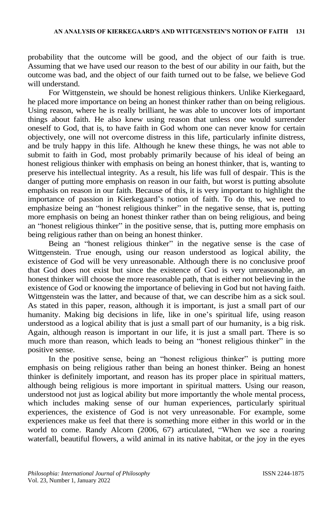probability that the outcome will be good, and the object of our faith is true. Assuming that we have used our reason to the best of our ability in our faith, but the outcome was bad, and the object of our faith turned out to be false, we believe God will understand.

For Wittgenstein, we should be honest religious thinkers. Unlike Kierkegaard, he placed more importance on being an honest thinker rather than on being religious. Using reason, where he is really brilliant, he was able to uncover lots of important things about faith. He also knew using reason that unless one would surrender oneself to God, that is, to have faith in God whom one can never know for certain objectively, one will not overcome distress in this life, particularly infinite distress, and be truly happy in this life. Although he knew these things, he was not able to submit to faith in God, most probably primarily because of his ideal of being an honest religious thinker with emphasis on being an honest thinker, that is, wanting to preserve his intellectual integrity. As a result, his life was full of despair. This is the danger of putting more emphasis on reason in our faith, but worst is putting absolute emphasis on reason in our faith. Because of this, it is very important to highlight the importance of passion in Kierkegaard's notion of faith. To do this, we need to emphasize being an "honest religious thinker" in the negative sense, that is, putting more emphasis on being an honest thinker rather than on being religious, and being an "honest religious thinker" in the positive sense, that is, putting more emphasis on being religious rather than on being an honest thinker.

Being an "honest religious thinker" in the negative sense is the case of Wittgenstein. True enough, using our reason understood as logical ability, the existence of God will be very unreasonable. Although there is no conclusive proof that God does not exist but since the existence of God is very unreasonable, an honest thinker will choose the more reasonable path, that is either not believing in the existence of God or knowing the importance of believing in God but not having faith. Wittgenstein was the latter, and because of that, we can describe him as a sick soul. As stated in this paper, reason, although it is important, is just a small part of our humanity. Making big decisions in life, like in one's spiritual life, using reason understood as a logical ability that is just a small part of our humanity, is a big risk. Again, although reason is important in our life, it is just a small part. There is so much more than reason, which leads to being an "honest religious thinker" in the positive sense.

In the positive sense, being an "honest religious thinker" is putting more emphasis on being religious rather than being an honest thinker. Being an honest thinker is definitely important, and reason has its proper place in spiritual matters, although being religious is more important in spiritual matters. Using our reason, understood not just as logical ability but more importantly the whole mental process, which includes making sense of our human experiences, particularly spiritual experiences, the existence of God is not very unreasonable. For example, some experiences make us feel that there is something more either in this world or in the world to come. Randy Alcorn (2006, 67) articulated, "When we see a roaring waterfall, beautiful flowers, a wild animal in its native habitat, or the joy in the eyes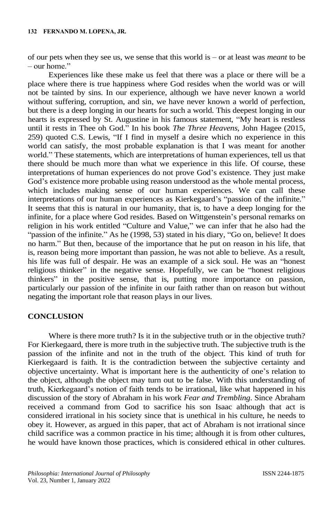of our pets when they see us, we sense that this world is – or at least was *meant* to be  $-$  our home."

Experiences like these make us feel that there was a place or there will be a place where there is true happiness where God resides when the world was or will not be tainted by sins. In our experience, although we have never known a world without suffering, corruption, and sin, we have never known a world of perfection, but there is a deep longing in our hearts for such a world. This deepest longing in our hearts is expressed by St. Augustine in his famous statement, "My heart is restless until it rests in Thee oh God." In his book *The Three Heavens*, John Hagee (2015, 259) quoted C.S. Lewis, "If I find in myself a desire which no experience in this world can satisfy, the most probable explanation is that I was meant for another world." These statements, which are interpretations of human experiences, tell us that there should be much more than what we experience in this life. Of course, these interpretations of human experiences do not prove God's existence. They just make God's existence more probable using reason understood as the whole mental process, which includes making sense of our human experiences. We can call these interpretations of our human experiences as Kierkegaard's "passion of the infinite." It seems that this is natural in our humanity, that is, to have a deep longing for the infinite, for a place where God resides. Based on Wittgenstein's personal remarks on religion in his work entitled "Culture and Value," we can infer that he also had the "passion of the infinite." As he (1998, 53) stated in his diary, "Go on, believe! It does no harm." But then, because of the importance that he put on reason in his life, that is, reason being more important than passion, he was not able to believe. As a result, his life was full of despair. He was an example of a sick soul. He was an "honest religious thinker" in the negative sense. Hopefully, we can be "honest religious thinkers" in the positive sense, that is, putting more importance on passion, particularly our passion of the infinite in our faith rather than on reason but without negating the important role that reason plays in our lives.

#### **CONCLUSION**

Where is there more truth? Is it in the subjective truth or in the objective truth? For Kierkegaard, there is more truth in the subjective truth. The subjective truth is the passion of the infinite and not in the truth of the object. This kind of truth for Kierkegaard is faith. It is the contradiction between the subjective certainty and objective uncertainty. What is important here is the authenticity of one's relation to the object, although the object may turn out to be false. With this understanding of truth, Kierkegaard's notion of faith tends to be irrational, like what happened in his discussion of the story of Abraham in his work *Fear and Trembling*. Since Abraham received a command from God to sacrifice his son Isaac although that act is considered irrational in his society since that is unethical in his culture, he needs to obey it. However, as argued in this paper, that act of Abraham is not irrational since child sacrifice was a common practice in his time; although it is from other cultures, he would have known those practices, which is considered ethical in other cultures.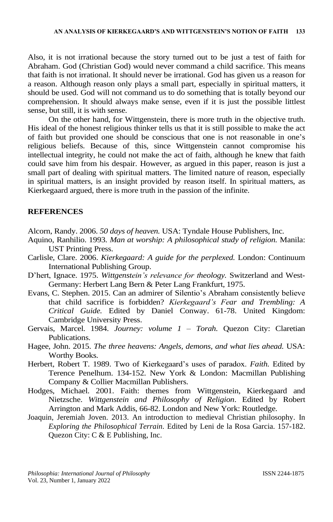Also, it is not irrational because the story turned out to be just a test of faith for Abraham. God (Christian God) would never command a child sacrifice. This means that faith is not irrational. It should never be irrational. God has given us a reason for a reason. Although reason only plays a small part, especially in spiritual matters, it should be used. God will not command us to do something that is totally beyond our comprehension. It should always make sense, even if it is just the possible littlest sense, but still, it is with sense.

On the other hand, for Wittgenstein, there is more truth in the objective truth. His ideal of the honest religious thinker tells us that it is still possible to make the act of faith but provided one should be conscious that one is not reasonable in one's religious beliefs. Because of this, since Wittgenstein cannot compromise his intellectual integrity, he could not make the act of faith, although he knew that faith could save him from his despair. However, as argued in this paper, reason is just a small part of dealing with spiritual matters. The limited nature of reason, especially in spiritual matters, is an insight provided by reason itself. In spiritual matters, as Kierkegaard argued, there is more truth in the passion of the infinite.

#### **REFERENCES**

Alcorn, Randy. 2006. *50 days of heaven.* USA: Tyndale House Publishers, Inc.

- Aquino, Ranhilio. 1993. *Man at worship: A philosophical study of religion.* Manila: UST Printing Press.
- Carlisle, Clare. 2006. *Kierkegaard: A guide for the perplexed.* London: Continuum International Publishing Group.
- D'hert, Ignace. 1975. *Wittgenstein's relevance for theology.* Switzerland and West-Germany: Herbert Lang Bern & Peter Lang Frankfurt, 1975.
- Evans, C. Stephen. 2015. Can an admirer of Silentio's Abraham consistently believe that child sacrifice is forbidden? *Kierkegaard's Fear and Trembling: A Critical Guide.* Edited by Daniel Conway. 61-78. United Kingdom: Cambridge University Press.
- Gervais, Marcel. 1984. *Journey: volume 1 – Torah.* Quezon City: Claretian Publications.
- Hagee, John. 2015. *The three heavens: Angels, demons, and what lies ahead.* USA: Worthy Books.
- Herbert, Robert T. 1989. Two of Kierkegaard's uses of paradox. *Faith.* Edited by Terence Penelhum. 134-152. New York & London: Macmillan Publishing Company & Collier Macmillan Publishers.
- Hodges, Michael. 2001. Faith: themes from Wittgenstein, Kierkegaard and Nietzsche. *Wittgenstein and Philosophy of Religion*. Edited by Robert Arrington and Mark Addis, 66-82. London and New York: Routledge.
- Joaquin, Jeremiah Joven. 2013. An introduction to medieval Christian philosophy. In *Exploring the Philosophical Terrain.* Edited by Leni de la Rosa Garcia. 157-182. Quezon City: C & E Publishing, Inc.